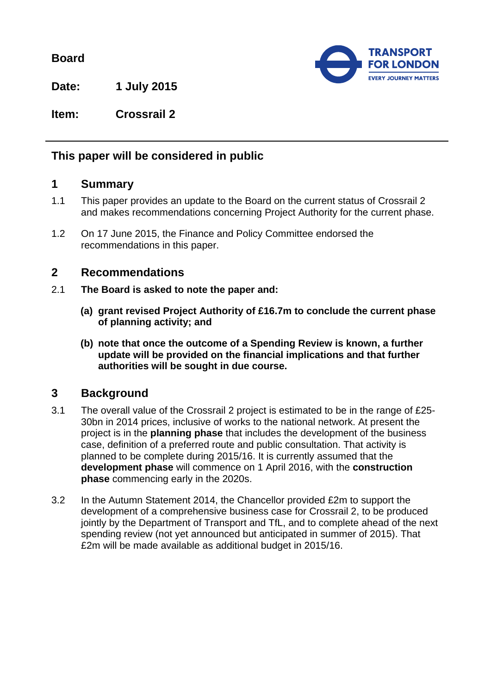**Board**



**Date: 1 July 2015**

**Item: Crossrail 2**

# **This paper will be considered in public**

## **1 Summary**

- 1.1 This paper provides an update to the Board on the current status of Crossrail 2 and makes recommendations concerning Project Authority for the current phase.
- 1.2 On 17 June 2015, the Finance and Policy Committee endorsed the recommendations in this paper.

#### **2 Recommendations**

- 2.1 **The Board is asked to note the paper and:**
	- **(a) grant revised Project Authority of £16.7m to conclude the current phase of planning activity; and**
	- **(b) note that once the outcome of a Spending Review is known, a further update will be provided on the financial implications and that further authorities will be sought in due course.**

## **3 Background**

- 3.1 The overall value of the Crossrail 2 project is estimated to be in the range of £25- 30bn in 2014 prices, inclusive of works to the national network. At present the project is in the **planning phase** that includes the development of the business case, definition of a preferred route and public consultation. That activity is planned to be complete during 2015/16. It is currently assumed that the **development phase** will commence on 1 April 2016, with the **construction phase** commencing early in the 2020s.
- 3.2 In the Autumn Statement 2014, the Chancellor provided £2m to support the development of a comprehensive business case for Crossrail 2, to be produced jointly by the Department of Transport and TfL, and to complete ahead of the next spending review (not yet announced but anticipated in summer of 2015). That £2m will be made available as additional budget in 2015/16.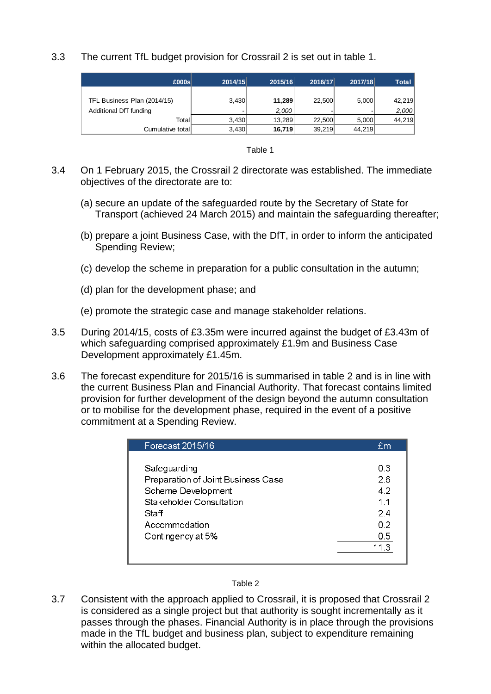3.3 The current TfL budget provision for Crossrail 2 is set out in table 1.

| E000s                       | 2014/15 | 2015/16 | 2016/17 | 2017/18 | Total  |
|-----------------------------|---------|---------|---------|---------|--------|
| TFL Business Plan (2014/15) | 3,430   | 11,289  | 22,500  | 5,000   | 42,219 |
| Additional DfT funding      |         | 2,000   |         |         | 2,000  |
| Totall                      | 3.430   | 13.289  | 22.500  | 5.000   | 44,219 |
| Cumulative total            | 3,430   | 16,719  | 39.219  | 44.219  |        |

| able |
|------|
|------|

- 3.4 On 1 February 2015, the Crossrail 2 directorate was established. The immediate objectives of the directorate are to:
	- (a) secure an update of the safeguarded route by the Secretary of State for Transport (achieved 24 March 2015) and maintain the safeguarding thereafter;
	- (b) prepare a joint Business Case, with the DfT, in order to inform the anticipated Spending Review;
	- (c) develop the scheme in preparation for a public consultation in the autumn;
	- (d) plan for the development phase; and
	- (e) promote the strategic case and manage stakeholder relations.
- 3.5 During 2014/15, costs of £3.35m were incurred against the budget of £3.43m of which safeguarding comprised approximately £1.9m and Business Case Development approximately £1.45m.
- 3.6 The forecast expenditure for 2015/16 is summarised in table 2 and is in line with the current Business Plan and Financial Authority. That forecast contains limited provision for further development of the design beyond the autumn consultation or to mobilise for the development phase, required in the event of a positive commitment at a Spending Review.

| Forecast 2015/16                   | Em   |
|------------------------------------|------|
|                                    |      |
| Safeguarding                       | 03   |
| Preparation of Joint Business Case | 26   |
| Scheme Development                 | 4.2  |
| Stakeholder Consultation           | 11   |
| Staff                              | 24   |
| Accommodation                      | 0.2  |
| Contingency at 5%                  | 0.5  |
|                                    | 11 3 |
|                                    |      |

3.7 Consistent with the approach applied to Crossrail, it is proposed that Crossrail 2 is considered as a single project but that authority is sought incrementally as it passes through the phases. Financial Authority is in place through the provisions made in the TfL budget and business plan, subject to expenditure remaining within the allocated budget.